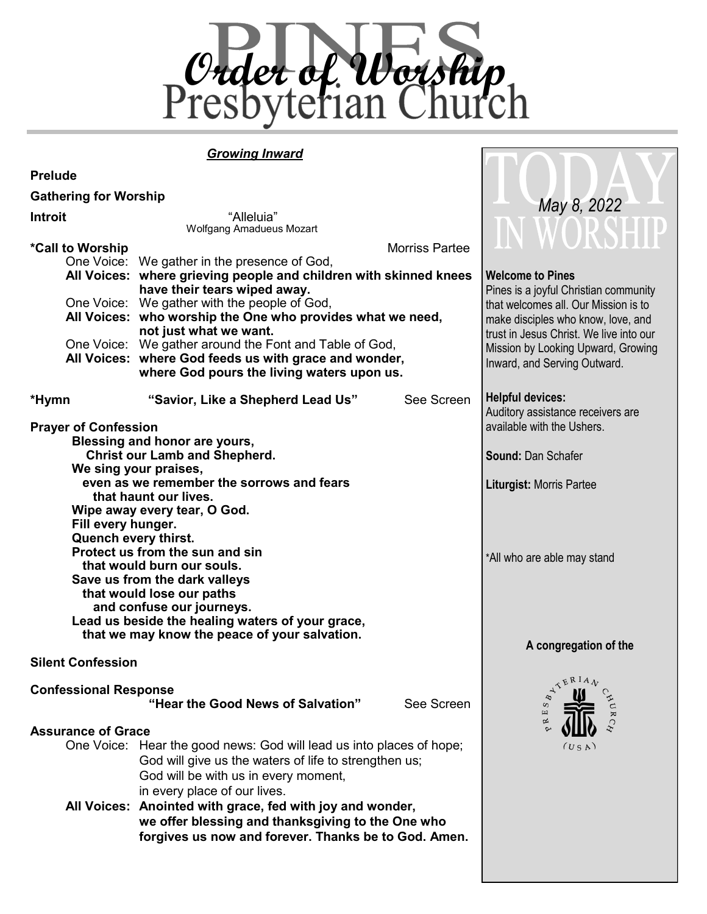

**TIAT** 

#### *Growing Inward*

| <b>Prelude</b>                                                                                                                                                         |                                                                                                                                                                                                       |                                                                                                                       |                                                                                            |  |  |  |
|------------------------------------------------------------------------------------------------------------------------------------------------------------------------|-------------------------------------------------------------------------------------------------------------------------------------------------------------------------------------------------------|-----------------------------------------------------------------------------------------------------------------------|--------------------------------------------------------------------------------------------|--|--|--|
| <b>Gathering for Worship</b>                                                                                                                                           |                                                                                                                                                                                                       |                                                                                                                       |                                                                                            |  |  |  |
| <b>Introit</b>                                                                                                                                                         | "Alleluia"<br>Wolfgang Amadueus Mozart                                                                                                                                                                | May 8, 2022<br>WORSHIP                                                                                                |                                                                                            |  |  |  |
| <b>Morriss Partee</b><br>*Call to Worship                                                                                                                              |                                                                                                                                                                                                       |                                                                                                                       |                                                                                            |  |  |  |
|                                                                                                                                                                        | One Voice: We gather in the presence of God,<br>All Voices: where grieving people and children with skinned knees<br>have their tears wiped away.                                                     |                                                                                                                       | <b>Welcome to Pines</b><br>Pines is a joyful Christian community                           |  |  |  |
|                                                                                                                                                                        | One Voice: We gather with the people of God,<br>All Voices: who worship the One who provides what we need,<br>not just what we want.<br>One Voice: We gather around the Font and Table of God,        | that welcomes all. Our Mission is to<br>make disciples who know, love, and<br>trust in Jesus Christ. We live into our |                                                                                            |  |  |  |
|                                                                                                                                                                        | All Voices: where God feeds us with grace and wonder,<br>where God pours the living waters upon us.                                                                                                   | Mission by Looking Upward, Growing<br>Inward, and Serving Outward.                                                    |                                                                                            |  |  |  |
| *Hymn                                                                                                                                                                  | "Savior, Like a Shepherd Lead Us"                                                                                                                                                                     | See Screen                                                                                                            | <b>Helpful devices:</b><br>Auditory assistance receivers are<br>available with the Ushers. |  |  |  |
| <b>Prayer of Confession</b><br>Blessing and honor are yours,<br><b>Christ our Lamb and Shepherd.</b><br>We sing your praises,                                          |                                                                                                                                                                                                       |                                                                                                                       | <b>Sound: Dan Schafer</b>                                                                  |  |  |  |
|                                                                                                                                                                        | even as we remember the sorrows and fears<br>that haunt our lives.                                                                                                                                    | <b>Liturgist: Morris Partee</b>                                                                                       |                                                                                            |  |  |  |
| Fill every hunger.<br>Quench every thirst.                                                                                                                             | Wipe away every tear, O God.<br>Protect us from the sun and sin<br>that would burn our souls.<br>Save us from the dark valleys<br>that would lose our paths<br>and confuse our journeys.              |                                                                                                                       | *All who are able may stand                                                                |  |  |  |
|                                                                                                                                                                        | Lead us beside the healing waters of your grace,<br>that we may know the peace of your salvation.                                                                                                     | A congregation of the                                                                                                 |                                                                                            |  |  |  |
| <b>Silent Confession</b><br><b>KERIAN</b>                                                                                                                              |                                                                                                                                                                                                       |                                                                                                                       |                                                                                            |  |  |  |
| <b>Confessional Response</b>                                                                                                                                           | "Hear the Good News of Salvation"                                                                                                                                                                     | See Screen                                                                                                            | $\delta_{\mu}$<br>CHUR.<br>S<br>⇙                                                          |  |  |  |
| <b>Assurance of Grace</b>                                                                                                                                              | One Voice: Hear the good news: God will lead us into places of hope;<br>God will give us the waters of life to strengthen us;<br>God will be with us in every moment,<br>in every place of our lives. |                                                                                                                       | (U S A)                                                                                    |  |  |  |
| All Voices: Anointed with grace, fed with joy and wonder,<br>we offer blessing and thanksgiving to the One who<br>forgives us now and forever. Thanks be to God. Amen. |                                                                                                                                                                                                       |                                                                                                                       |                                                                                            |  |  |  |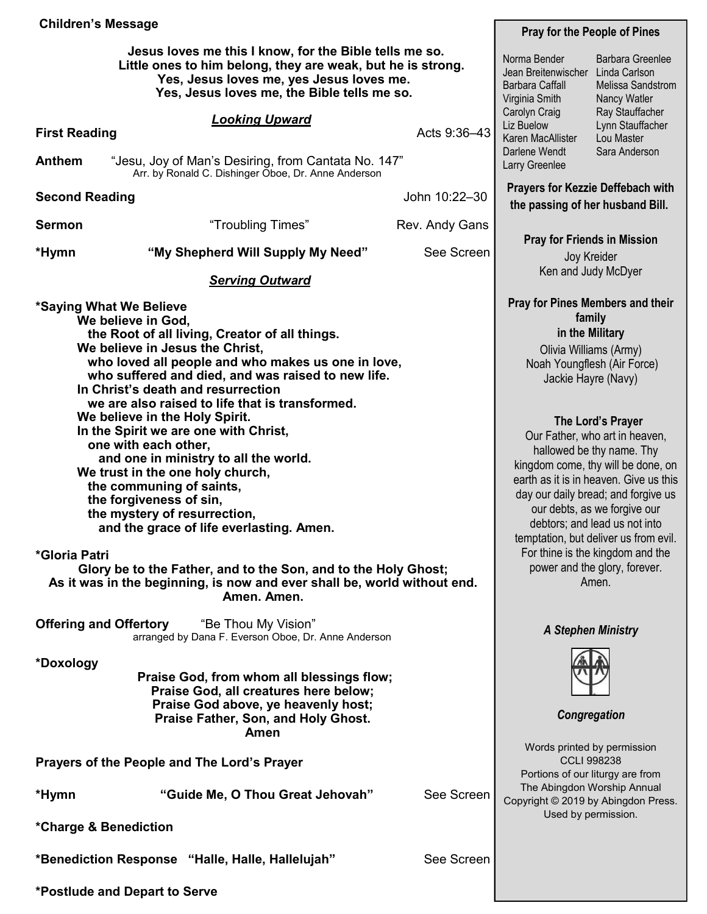| <b>Children's Message</b>                                                                                                                                                                                                                                                                                                                                                                                                                                                                                                                                                                                                                                                                                                                                                                                                                |            |                                                                          | <b>Pray for the People of Pines</b>                                                                                                                                                                                                                                                                                                                                                                                                                                                                                                                     |                                                                               |  |  |
|------------------------------------------------------------------------------------------------------------------------------------------------------------------------------------------------------------------------------------------------------------------------------------------------------------------------------------------------------------------------------------------------------------------------------------------------------------------------------------------------------------------------------------------------------------------------------------------------------------------------------------------------------------------------------------------------------------------------------------------------------------------------------------------------------------------------------------------|------------|--------------------------------------------------------------------------|---------------------------------------------------------------------------------------------------------------------------------------------------------------------------------------------------------------------------------------------------------------------------------------------------------------------------------------------------------------------------------------------------------------------------------------------------------------------------------------------------------------------------------------------------------|-------------------------------------------------------------------------------|--|--|
| Jesus loves me this I know, for the Bible tells me so.<br>Little ones to him belong, they are weak, but he is strong.<br>Yes, Jesus loves me, yes Jesus loves me.<br>Yes, Jesus loves me, the Bible tells me so.                                                                                                                                                                                                                                                                                                                                                                                                                                                                                                                                                                                                                         |            |                                                                          | Norma Bender<br>Jean Breitenwischer<br>Barbara Caffall<br>Virginia Smith<br>Carolyn Craig                                                                                                                                                                                                                                                                                                                                                                                                                                                               | <b>Barbara Greenlee</b><br>Linda Carlson<br>Melissa Sandstrom<br>Nancy Watler |  |  |
| <b>Looking Upward</b><br><b>First Reading</b>                                                                                                                                                                                                                                                                                                                                                                                                                                                                                                                                                                                                                                                                                                                                                                                            |            | Acts 9:36-43                                                             | Ray Stauffacher<br>Liz Buelow<br>Lynn Stauffacher<br>Karen MacAllister<br>Lou Master<br>Darlene Wendt<br>Sara Anderson                                                                                                                                                                                                                                                                                                                                                                                                                                  |                                                                               |  |  |
| <b>Anthem</b><br>"Jesu, Joy of Man's Desiring, from Cantata No. 147"<br>Arr. by Ronald C. Dishinger Oboe, Dr. Anne Anderson                                                                                                                                                                                                                                                                                                                                                                                                                                                                                                                                                                                                                                                                                                              |            |                                                                          | Larry Greenlee                                                                                                                                                                                                                                                                                                                                                                                                                                                                                                                                          |                                                                               |  |  |
| John 10:22-30<br><b>Second Reading</b>                                                                                                                                                                                                                                                                                                                                                                                                                                                                                                                                                                                                                                                                                                                                                                                                   |            |                                                                          | <b>Prayers for Kezzie Deffebach with</b><br>the passing of her husband Bill.                                                                                                                                                                                                                                                                                                                                                                                                                                                                            |                                                                               |  |  |
| <b>Sermon</b><br>"Troubling Times"                                                                                                                                                                                                                                                                                                                                                                                                                                                                                                                                                                                                                                                                                                                                                                                                       |            | Rev. Andy Gans                                                           |                                                                                                                                                                                                                                                                                                                                                                                                                                                                                                                                                         |                                                                               |  |  |
| "My Shepherd Will Supply My Need"<br>*Hymn                                                                                                                                                                                                                                                                                                                                                                                                                                                                                                                                                                                                                                                                                                                                                                                               | See Screen | <b>Pray for Friends in Mission</b><br>Joy Kreider<br>Ken and Judy McDyer |                                                                                                                                                                                                                                                                                                                                                                                                                                                                                                                                                         |                                                                               |  |  |
| <b>Serving Outward</b>                                                                                                                                                                                                                                                                                                                                                                                                                                                                                                                                                                                                                                                                                                                                                                                                                   |            |                                                                          |                                                                                                                                                                                                                                                                                                                                                                                                                                                                                                                                                         |                                                                               |  |  |
| *Saying What We Believe<br>We believe in God,<br>the Root of all living, Creator of all things.<br>We believe in Jesus the Christ,<br>who loved all people and who makes us one in love,<br>who suffered and died, and was raised to new life.<br>In Christ's death and resurrection<br>we are also raised to life that is transformed.<br>We believe in the Holy Spirit.<br>In the Spirit we are one with Christ,<br>one with each other,<br>and one in ministry to all the world.<br>We trust in the one holy church,<br>the communing of saints,<br>the forgiveness of sin,<br>the mystery of resurrection,<br>and the grace of life everlasting. Amen.<br>*Gloria Patri<br>Glory be to the Father, and to the Son, and to the Holy Ghost;<br>As it was in the beginning, is now and ever shall be, world without end.<br>Amen. Amen. |            |                                                                          | <b>Pray for Pines Members and their</b><br>family<br>in the Military<br>Olivia Williams (Army)<br>Noah Youngflesh (Air Force)<br>Jackie Hayre (Navy)<br>The Lord's Prayer<br>Our Father, who art in heaven,<br>hallowed be thy name. Thy<br>kingdom come, thy will be done, on<br>earth as it is in heaven. Give us this<br>day our daily bread; and forgive us<br>our debts, as we forgive our<br>debtors; and lead us not into<br>temptation, but deliver us from evil.<br>For thine is the kingdom and the<br>power and the glory, forever.<br>Amen. |                                                                               |  |  |
| <b>Offering and Offertory</b><br>"Be Thou My Vision"<br>arranged by Dana F. Everson Oboe, Dr. Anne Anderson                                                                                                                                                                                                                                                                                                                                                                                                                                                                                                                                                                                                                                                                                                                              |            |                                                                          | <b>A Stephen Ministry</b>                                                                                                                                                                                                                                                                                                                                                                                                                                                                                                                               |                                                                               |  |  |
| *Doxology<br>Praise God, from whom all blessings flow;<br>Praise God, all creatures here below;<br>Praise God above, ye heavenly host;<br>Praise Father, Son, and Holy Ghost.<br>Amen                                                                                                                                                                                                                                                                                                                                                                                                                                                                                                                                                                                                                                                    |            | Congregation                                                             |                                                                                                                                                                                                                                                                                                                                                                                                                                                                                                                                                         |                                                                               |  |  |
| Prayers of the People and The Lord's Prayer                                                                                                                                                                                                                                                                                                                                                                                                                                                                                                                                                                                                                                                                                                                                                                                              |            |                                                                          | Words printed by permission<br><b>CCLI 998238</b>                                                                                                                                                                                                                                                                                                                                                                                                                                                                                                       |                                                                               |  |  |
| "Guide Me, O Thou Great Jehovah"<br>*Hymn                                                                                                                                                                                                                                                                                                                                                                                                                                                                                                                                                                                                                                                                                                                                                                                                |            | See Screen                                                               | Portions of our liturgy are from<br>The Abingdon Worship Annual<br>Copyright © 2019 by Abingdon Press.<br>Used by permission.                                                                                                                                                                                                                                                                                                                                                                                                                           |                                                                               |  |  |
| *Charge & Benediction                                                                                                                                                                                                                                                                                                                                                                                                                                                                                                                                                                                                                                                                                                                                                                                                                    |            |                                                                          |                                                                                                                                                                                                                                                                                                                                                                                                                                                                                                                                                         |                                                                               |  |  |
| *Benediction Response "Halle, Halle, Hallelujah"                                                                                                                                                                                                                                                                                                                                                                                                                                                                                                                                                                                                                                                                                                                                                                                         |            | See Screen                                                               |                                                                                                                                                                                                                                                                                                                                                                                                                                                                                                                                                         |                                                                               |  |  |
| *Postlude and Depart to Serve                                                                                                                                                                                                                                                                                                                                                                                                                                                                                                                                                                                                                                                                                                                                                                                                            |            |                                                                          |                                                                                                                                                                                                                                                                                                                                                                                                                                                                                                                                                         |                                                                               |  |  |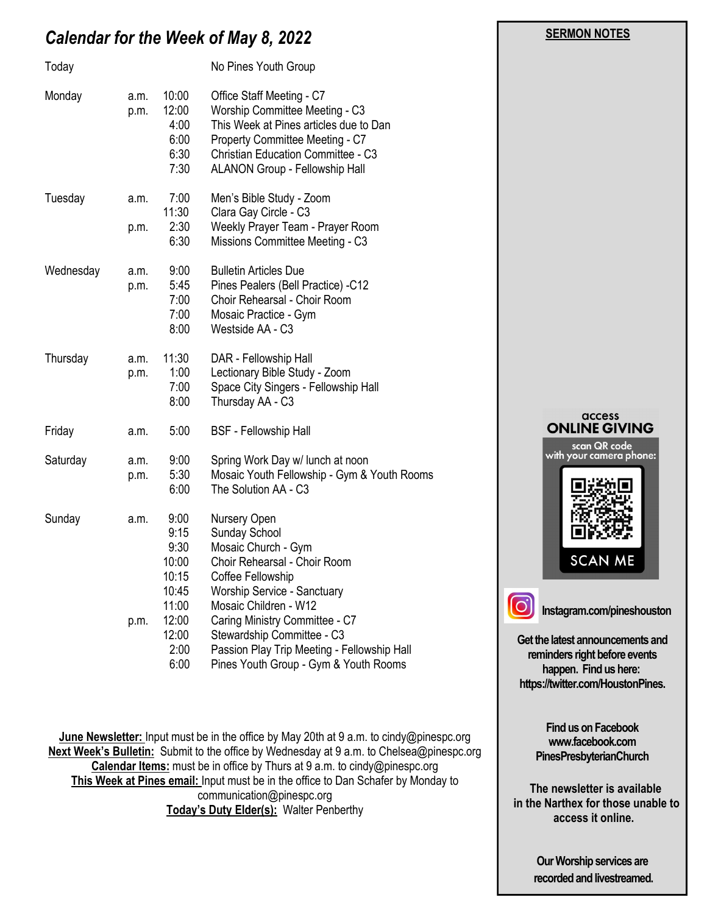# *Calendar for the Week of May 8, 2022*

| Today     |              |                                                                            | No Pines Youth Group                                                                                                                                                                                                              |
|-----------|--------------|----------------------------------------------------------------------------|-----------------------------------------------------------------------------------------------------------------------------------------------------------------------------------------------------------------------------------|
| Monday    | a.m.<br>p.m. | 10:00<br>12:00<br>4:00<br>6:00<br>6:30<br>7:30                             | Office Staff Meeting - C7<br>Worship Committee Meeting - C3<br>This Week at Pines articles due to Dan<br>Property Committee Meeting - C7<br><b>Christian Education Committee - C3</b><br>ALANON Group - Fellowship Hall           |
| Tuesday   | a.m.         | 7:00<br>11:30                                                              | Men's Bible Study - Zoom<br>Clara Gay Circle - C3                                                                                                                                                                                 |
|           | p.m.         | 2:30<br>6:30                                                               | Weekly Prayer Team - Prayer Room<br>Missions Committee Meeting - C3                                                                                                                                                               |
| Wednesday | a.m.<br>p.m. | 9:00<br>5:45<br>7:00<br>7:00<br>8:00                                       | <b>Bulletin Articles Due</b><br>Pines Pealers (Bell Practice) -C12<br>Choir Rehearsal - Choir Room<br>Mosaic Practice - Gym<br>Westside AA - C3                                                                                   |
| Thursday  | a.m.<br>p.m. | 11:30<br>1:00<br>7:00<br>8:00                                              | DAR - Fellowship Hall<br>Lectionary Bible Study - Zoom<br>Space City Singers - Fellowship Hall<br>Thursday AA - C3                                                                                                                |
| Friday    | a.m.         | 5:00                                                                       | <b>BSF</b> - Fellowship Hall                                                                                                                                                                                                      |
| Saturday  | a.m.<br>p.m. | 9:00<br>5:30<br>6:00                                                       | Spring Work Day w/ lunch at noon<br>Mosaic Youth Fellowship - Gym & Youth Rooms<br>The Solution AA - C3                                                                                                                           |
| Sunday    | a.m.<br>p.m. | 9:00<br>9:15<br>9:30<br>10:00<br>10:15<br>10:45<br>11:00<br>12:00<br>12:00 | Nursery Open<br>Sunday School<br>Mosaic Church - Gym<br>Choir Rehearsal - Choir Room<br>Coffee Fellowship<br>Worship Service - Sanctuary<br>Mosaic Children - W12<br>Caring Ministry Committee - C7<br>Stewardship Committee - C3 |
|           |              | 2:00<br>6:00                                                               | Passion Play Trip Meeting - Fellowship Hall<br>Pines Youth Group - Gym & Youth Rooms                                                                                                                                              |

**June Newsletter:** Input must be in the office by May 20th at 9 a.m. to cindy@pinespc.org **Next Week's Bulletin:** Submit to the office by Wednesday at 9 a.m. to Chelsea@pinespc.org **Calendar Items:** must be in office by Thurs at 9 a.m. to cindy@pinespc.org **This Week at Pines email:** Input must be in the office to Dan Schafer by Monday to communication@pinespc.org **Today's Duty Elder(s): Walter Penberthy** 

# access **ONLINE GIVING** scan QR code<br>with your camera phone: **SCAN ME**

 **SERMON NOTES** 

**Instagram.com/pineshouston**

**Get the latest announcements and reminders right before events happen. Find us here: https://twitter.com/HoustonPines.** 

ဝြ

**Find us on Facebook www.facebook.com PinesPresbyterianChurch**

 **The newsletter is available in the Narthex for those unable to access it online.**

> **Our Worship services are recorded and livestreamed.**